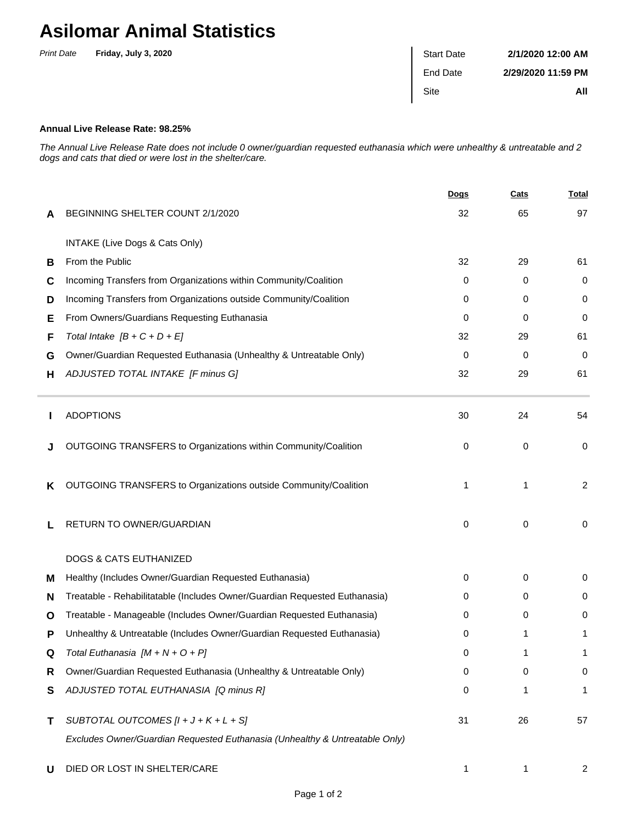## **Asilomar Animal Statistics**

| <b>Print Date</b> | Friday, July 3, 2020 | <b>Start Date</b> | 2/1/2020 12:00 AM  |
|-------------------|----------------------|-------------------|--------------------|
|                   |                      | End Date          | 2/29/2020 11:59 PM |
|                   |                      | Site              | All                |

## **Annual Live Release Rate: 98.25%**

The Annual Live Release Rate does not include 0 owner/guardian requested euthanasia which were unhealthy & untreatable and 2 dogs and cats that died or were lost in the shelter/care.

|   |                                                                             | <b>Dogs</b> | Cats | <b>Total</b>   |
|---|-----------------------------------------------------------------------------|-------------|------|----------------|
| A | BEGINNING SHELTER COUNT 2/1/2020                                            | 32          | 65   | 97             |
|   | INTAKE (Live Dogs & Cats Only)                                              |             |      |                |
| В | From the Public                                                             | 32          | 29   | 61             |
| C | Incoming Transfers from Organizations within Community/Coalition            | 0           | 0    | 0              |
| D | Incoming Transfers from Organizations outside Community/Coalition           | 0           | 0    | 0              |
| Е | From Owners/Guardians Requesting Euthanasia                                 | 0           | 0    | 0              |
| F | Total Intake $[B + C + D + E]$                                              | 32          | 29   | 61             |
| G | Owner/Guardian Requested Euthanasia (Unhealthy & Untreatable Only)          | 0           | 0    | 0              |
| н | ADJUSTED TOTAL INTAKE [F minus G]                                           | 32          | 29   | 61             |
|   | <b>ADOPTIONS</b>                                                            | 30          | 24   | 54             |
|   | OUTGOING TRANSFERS to Organizations within Community/Coalition              | 0           | 0    | 0              |
| ĸ | OUTGOING TRANSFERS to Organizations outside Community/Coalition             | 1           | 1    | $\overline{2}$ |
|   | RETURN TO OWNER/GUARDIAN                                                    | 0           | 0    | 0              |
|   | <b>DOGS &amp; CATS EUTHANIZED</b>                                           |             |      |                |
| м | Healthy (Includes Owner/Guardian Requested Euthanasia)                      | 0           | 0    | 0              |
| N | Treatable - Rehabilitatable (Includes Owner/Guardian Requested Euthanasia)  | 0           | 0    | 0              |
| O | Treatable - Manageable (Includes Owner/Guardian Requested Euthanasia)       | 0           | 0    | 0              |
| Р | Unhealthy & Untreatable (Includes Owner/Guardian Requested Euthanasia)      | 0           | 1    | 1              |
| Q | Total Euthanasia $[M + N + O + P]$                                          | 0           |      |                |
| R | Owner/Guardian Requested Euthanasia (Unhealthy & Untreatable Only)          | 0           | 0    | 0              |
| S | ADJUSTED TOTAL EUTHANASIA [Q minus R]                                       | 0           | 1    | 1              |
| т | SUBTOTAL OUTCOMES $[l + J + K + L + S]$                                     | 31          | 26   | 57             |
|   | Excludes Owner/Guardian Requested Euthanasia (Unhealthy & Untreatable Only) |             |      |                |
| U | DIED OR LOST IN SHELTER/CARE                                                | 1           | 1    | 2              |